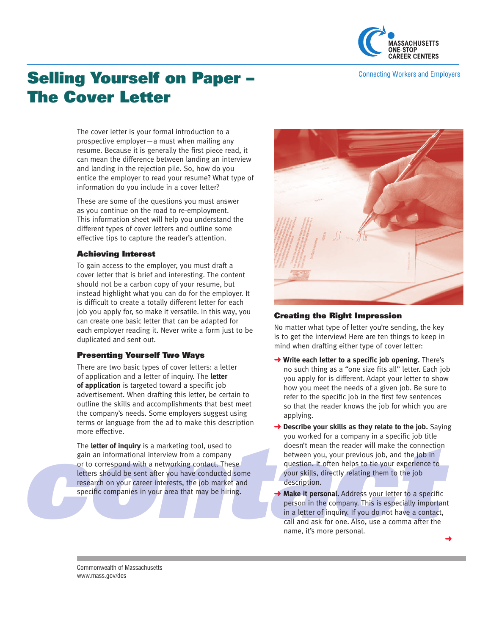

Connecting Workers and Employers

# Selling Yourself on Paper – The Cover Letter

The cover letter is your formal introduction to a prospective employer—a must when mailing any resume. Because it is generally the first piece read, it can mean the difference between landing an interview and landing in the rejection pile. So, how do you entice the employer to read your resume? What type of information do you include in a cover letter?

These are some of the questions you must answer as you continue on the road to re-employment. This information sheet will help you understand the different types of cover letters and outline some effective tips to capture the reader's attention.

#### Achieving Interest

To gain access to the employer, you must draft a cover letter that is brief and interesting. The content should not be a carbon copy of your resume, but instead highlight what you can do for the employer. It is difficult to create a totally different letter for each job you apply for, so make it versatile. In this way, you can create one basic letter that can be adapted for each employer reading it. Never write a form just to be duplicated and sent out.

## Presenting Yourself Two Ways

There are two basic types of cover letters: a letter of application and a letter of inquiry. The **letter of application** is targeted toward a specific job advertisement. When drafting this letter, be certain to outline the skills and accomplishments that best meet the company's needs. Some employers suggest using terms or language from the ad to make this description more effective.

For the **letter of inquiry** is a marketing tool, used to<br>
gain an informational interview from a company<br>
or to correspond with a networking contact. These<br>
letters should be sent after you have conducted some<br>
research o The **letter of inquiry** is a marketing tool, used to gain an informational interview from a company or to correspond with a networking contact. These letters should be sent after you have conducted some research on your career interests, the job market and specific companies in your area that may be hiring.



## Creating the Right Impression

No matter what type of letter you're sending, the key is to get the interview! Here are ten things to keep in mind when drafting either type of cover letter:

- **→ Write each letter to a specific job opening.** There's no such thing as a "one size fits all" letter. Each job you apply for is different. Adapt your letter to show how you meet the needs of a given job. Be sure to refer to the specific job in the first few sentences so that the reader knows the job for which you are applying.
- **→ Describe your skills as they relate to the job.** Saying or a company in a specific job title<br>the reader will make the connectic<br>your previous job, and the job in<br>ten helps to tie your experience to<br>ectly relating them to the job<br>**nal.** Address your letter to a specific<br>company. you worked for a company in a specific job title doesn't mean the reader will make the connection between you, your previous job, and the job in question. It often helps to tie your experience to your skills, directly relating them to the job description.
- Make it personal. Address your letter to a specific person in the company. This is especially important in a letter of inquiry. If you do not have a contact, call and ask for one. Also, use a comma after the name, it's more personal.

Commonwealth of Massachusetts www.mass.gov/dcs